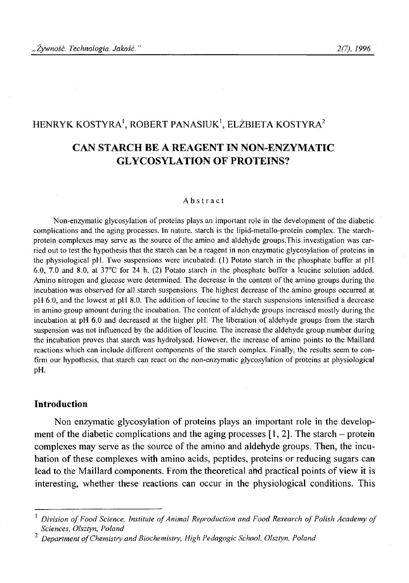## HENRYK KOSTYRA<sup>1</sup>, ROBERT PANASIUK<sup>1</sup>, ELŻBIETA KOSTYRA<sup>2</sup>

# **CAN STARCH BE A REAGENT IN NON-ENZYMATIC GLYCOSYLATION OF PROTEINS?**

#### Abstract

Non-enzymatic glycosylation of proteins plays an important role in the development of the diabetic **complications and the aging processes. In nature, starch is the lipid-metallo-protein complex. The starchprotein complexes may serve as the source of the amino and aldehyde groups.This investigation was car**ried out to test the hypothesis that the starch can be a reagent in non enzymatic glycosylation of proteins in **the physiological pH. Two suspensions were incubated: (1) Potato starch in the phosphate buffer at pH 6.0, 7.0 and 8.0, at 37°C for 24 h, (2) Potato starch in the phosphate buffer a leucine solution added. Amino nitrogen and glucose were determined. The decrease in the content of the amino groups during the incubation was observed for all starch suspensions. The highest decrease of the amino groups occurred at pH 6.0, and the lowest at pH 8.0. The addition of leucine to the starch suspensions intensified a decrease** in amino group amount during the incubation. The content of aldehyde groups increased mostly during the **incubation at pH 6.0 and decreased at the higher pH. The liberation of aldehyde groups from the starch** suspension was not influenced by the addition of leucine. The increase the aldehyde group number during the incubation proves that starch was hydrolysed. However, the increase of amino points to the Maillard **reactions which can include different components of the starch complex. Finally, the results seem to con**firm our hypothesis, that starch can react on the non-enzymatic glycosylation of proteins at physiological **pH.**

## **Introduction**

Non enzymatic glycosylation of proteins plays an important role in the development of the diabetic complications and the aging processes  $[1, 2]$ . The starch – protein complexes may serve as the source of the amino and aldehyde groups. Then, the incubation of these complexes with amino acids, peptides, proteins or reducing sugars can lead to the Maillard components. From the theoretical aftd practical points of view it is interesting, whether these reactions can occur in the physiological conditions. This

Division of Food Science, Institute of Animal Reproduction and Food Research of Polish Academy of *Sciences, Olsztyn, Poland*

*Department of Chemistry and Biochemistry, High Pedagogic School, Olsztyn, Poland*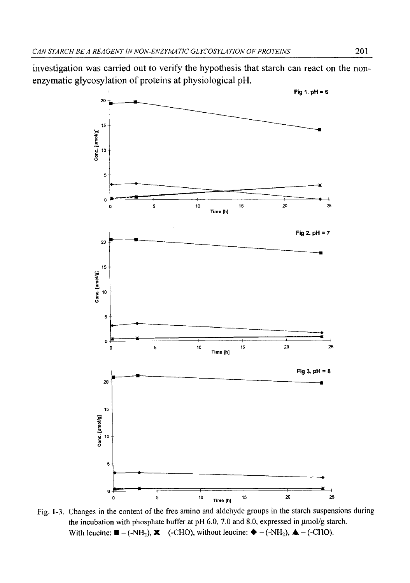investigation was carried out to verify the hypothesis that starch can react on the nonenzymatic glycosylation of proteins at physiological pH.



Fig. 1-3. Changes in the content of the free amino and aldehyde groups in the starch suspensions during the incubation with phosphate buffer at pH 6.0, 7.0 and 8.0, expressed in  $\mu$ mol/g starch. With leucine:  $\blacksquare - (-NH_2)$ ,  $\blacksquare - (-CHO)$ , without leucine:  $\blacklozenge - (-NH_2)$ ,  $\blacktriangle - (-CHO)$ .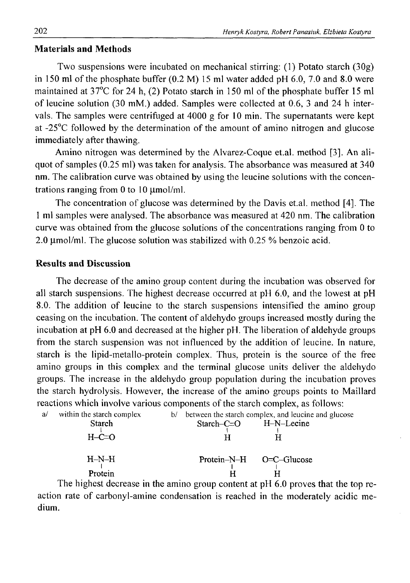## **Materials and Methods**

Two suspensions were incubated on mechanical stirring: (1) Potato starch (30g) in 150 ml of the phosphate buffer (0.2 M) 15 ml water added pH 6.0, 7.0 and 8.0 were maintained at 37°C for 24 h, (2) Potato starch in 150 ml of the phosphate buffer 15 ml of leucine solution (30 mM.) added. Samples were collected at 0.6, 3 and 24 h intervals. The samples were centrifuged at 4000 g for 10 min. The supernatants were kept at -25°C followed by the determination of the amount of amino nitrogen and glucose immediately after thawing.

Amino nitrogen was determined by the Alvarez-Coque et.al. method [3]. An aliquot of samples (0.25 ml) was taken for analysis. The absorbance was measured at 340 nm. The calibration curve was obtained by using the leucine solutions with the concentrations ranging from 0 to 10  $\mu$ mol/ml.

The concentration of glucose was determined by the Davis et.al. method [4]. The 1 ml samples were analysed. The absorbance was measured at 420 nm. The calibration curve was obtained from the glucose solutions of the concentrations ranging from 0 to 2.0  $\mu$ mol/ml. The glucose solution was stabilized with 0.25 % benzoic acid.

### **Results and Discussion**

The decrease of the amino group content during the incubation was observed for all starch suspensions. The highest decrease occurred at pH 6.0, and the lowest at pH 8.0. The addition of leucine to the starch suspensions intensified the amino group ceasing on the incubation. The content of aldehydo groups increased mostly during the incubation at pH 6.0 and decreased at the higher pH. The liberation of aldehyde groups from the starch suspension was not influenced by the addition of leucine. In nature, starch is the lipid-metallo-protein complex. Thus, protein is the source of the free amino groups in this complex and the terminal glucose units deliver the aldehydo groups. The increase in the aldehydo group population during the incubation proves the starch hydrolysis. However, the increase of the amino groups points to Maillard reactions which involve various components of the starch complex, as follows:

| a/ | within the starch complex                                                                                                                                                                                                        | b/ | between the starch complex, and leucine and glucose |  |                               |
|----|----------------------------------------------------------------------------------------------------------------------------------------------------------------------------------------------------------------------------------|----|-----------------------------------------------------|--|-------------------------------|
|    | <b>Starch</b>                                                                                                                                                                                                                    |    | $Starch-C=O$ $H-N-Lecine$                           |  |                               |
|    |                                                                                                                                                                                                                                  |    |                                                     |  |                               |
|    | $H-C=0$                                                                                                                                                                                                                          |    |                                                     |  |                               |
|    |                                                                                                                                                                                                                                  |    |                                                     |  |                               |
|    | $H-N-H$                                                                                                                                                                                                                          |    | $Protein-N-H$ $O=C-Glu\csc$                         |  |                               |
|    |                                                                                                                                                                                                                                  |    |                                                     |  |                               |
|    | Protein                                                                                                                                                                                                                          |    |                                                     |  |                               |
|    | $\mathbf{m}$ , it is a set of the set of the set of the set of the set of the set of the set of the set of the set of the set of the set of the set of the set of the set of the set of the set of the set of the set of the set |    |                                                     |  | $\mathbf{1}$ and $\mathbf{1}$ |

The highest decrease in the amino group content at pH 6.0 proves that the top reaction rate of carbonyl-amine condensation is reached in the moderately acidic medium.